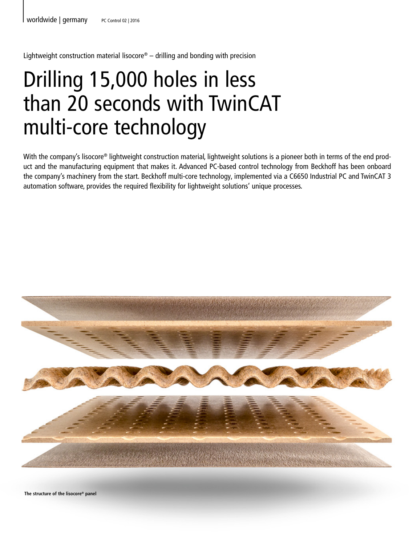Lightweight construction material lisocore<sup>®</sup> – drilling and bonding with precision

# Drilling 15,000 holes in less than 20 seconds with TwinCAT multi-core technology

With the company's lisocore® lightweight construction material, lightweight solutions is a pioneer both in terms of the end product and the manufacturing equipment that makes it. Advanced PC-based control technology from Beckhoff has been onboard the company's machinery from the start. Beckhoff multi-core technology, implemented via a C6650 Industrial PC and TwinCAT 3 automation software, provides the required flexibility for lightweight solutions' unique processes.



**The structure of the lisocore® panel**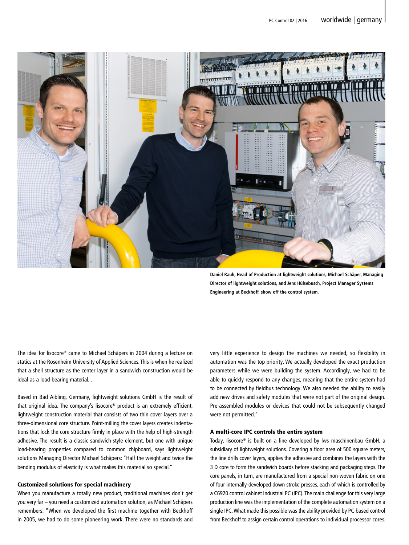

**Daniel Rauh, Head of Production at lightweight solutions, Michael Schäper, Managing Director of lightweight solutions, and Jens Hülsebusch, Project Manager Systems Engineering at Beckhoff, show off the control system.** 

The idea for lisocore® came to Michael Schäpers in 2004 during a lecture on statics at the Rosenheim University of Applied Sciences. This is when he realized that a shell structure as the center layer in a sandwich construction would be ideal as a load-bearing material. .

Based in Bad Aibling, Germany, lightweight solutions GmbH is the result of that original idea. The company's lisocore® product is an extremely efficient, lightweight construction material that consists of two thin cover layers over a three-dimensional core structure. Point-milling the cover layers creates indentations that lock the core structure firmly in place with the help of high-strength adhesive. The result is a classic sandwich-style element, but one with unique load-bearing properties compared to common chipboard, says lightweight solutions Managing Director Michael Schäpers: "Half the weight and twice the bending modulus of elasticity is what makes this material so special."

### Customized solutions for special machinery

When you manufacture a totally new product, traditional machines don't get you very far – you need a customized automation solution, as Michael Schäpers remembers: "When we developed the first machine together with Beckhoff in 2005, we had to do some pioneering work. There were no standards and very little experience to design the machines we needed, so flexibility in automation was the top priority. We actually developed the exact production parameters while we were building the system. Accordingly, we had to be able to quickly respond to any changes, meaning that the entire system had to be connected by fieldbus technology. We also needed the ability to easily add new drives and safety modules that were not part of the original design. Pre-assembled modules or devices that could not be subsequently changed were not permitted."

# A multi-core IPC controls the entire system

Today, lisocore® is built on a line developed by lws maschinenbau GmbH, a subsidiary of lightweight solutions. Covering a floor area of 500 square meters, the line drills cover layers, applies the adhesive and combines the layers with the 3 D core to form the sandwich boards before stacking and packaging steps. The core panels, in turn, are manufactured from a special non-woven fabric on one of four internally-developed down stroke presses, each of which is controlled by a C6920 control cabinet Industrial PC (IPC). The main challenge for this very large production line was the implementation of the complete automation system on a single IPC. What made this possible was the ability provided by PC-based control from Beckhoff to assign certain control operations to individual processor cores.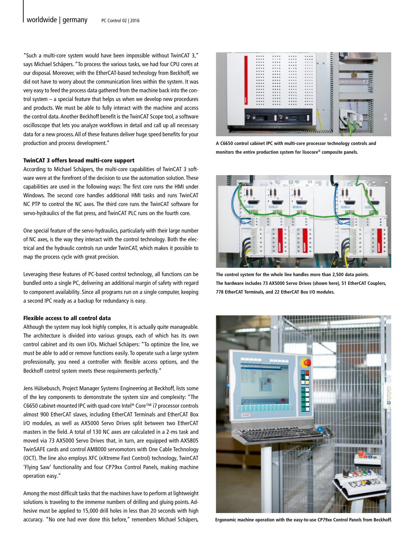"Such a multi-core system would have been impossible without TwinCAT 3," says Michael Schäpers. "To process the various tasks, we had four CPU cores at our disposal. Moreover, with the EtherCAT-based technology from Beckhoff, we did not have to worry about the communication lines within the system. It was very easy to feed the process data gathered from the machine back into the control system – a special feature that helps us when we develop new procedures and products. We must be able to fully interact with the machine and access the control data. Another Beckhoff benefit is the TwinCAT Scope tool, a software oscilloscope that lets you analyze workflows in detail and call up all necessary data for a new process. All of these features deliver huge speed benefits for your production and process development."

#### TwinCAT 3 offers broad multi-core support

According to Michael Schäpers, the multi-core capabilities of TwinCAT 3 software were at the forefront of the decision to use the automation solution. These capabilities are used in the following ways: The first core runs the HMI under Windows. The second core handles additional HMI tasks and runs TwinCAT NC PTP to control the NC axes. The third core runs the TwinCAT software for servo-hydraulics of the flat press, and TwinCAT PLC runs on the fourth core.

One special feature of the servo-hydraulics, particularly with their large number of NC axes, is the way they interact with the control technology. Both the electrical and the hydraulic controls run under TwinCAT, which makes it possible to map the process cycle with great precision.

Leveraging these features of PC-based control technology, all functions can be bundled onto a single PC, delivering an additional margin of safety with regard to component availability. Since all programs run on a single computer, keeping a second IPC ready as a backup for redundancy is easy.

## Flexible access to all control data

Although the system may look highly complex, it is actually quite manageable. The architecture is divided into various groups, each of which has its own control cabinet and its own I/Os. Michael Schäpers: "To optimize the line, we must be able to add or remove functions easily. To operate such a large system professionally, you need a controller with flexible access options, and the Beckhoff control system meets these requirements perfectly."

Jens Hülsebusch, Project Manager Systems Engineering at Beckhoff, lists some of the key components to demonstrate the system size and complexity: "The C6650 cabinet-mounted IPC with quad-core Intel® Core™ i7 processor controls almost 900 EtherCAT slaves, including EtherCAT Terminals and EtherCAT Box I/O modules, as well as AX5000 Servo Drives split between two EtherCAT masters in the field. A total of 130 NC axes are calculated in a 2-ms task and moved via 73 AX5000 Servo Drives that, in turn, are equipped with AX5805 TwinSAFE cards and control AM8000 servomotors with One Cable Technology (OCT). The line also employs XFC (eXtreme Fast Control) technology, TwinCAT 'Flying Saw' functionality and four CP79xx Control Panels, making machine operation easy."

Among the most difficult tasks that the machines have to perform at lightweight solutions is traveling to the immense numbers of drilling and gluing points. Adhesive must be applied to 15,000 drill holes in less than 20 seconds with high accuracy. "No one had ever done this before," remembers Michael Schäpers,



**A C6650 control cabinet IPC with multi-core processor technology controls and monitors the entire production system for lisocore® composite panels.**



**The control system for the whole line handles more than 2,500 data points. The hardware includes 73 AX5000 Servo Drives (shown here), 51 EtherCAT Couplers, 778 EtherCAT Terminals, and 22 EtherCAT Box I/O modules.**



**Ergonomic machine operation with the easy-to-use CP79xx Control Panels from Beckhoff.**